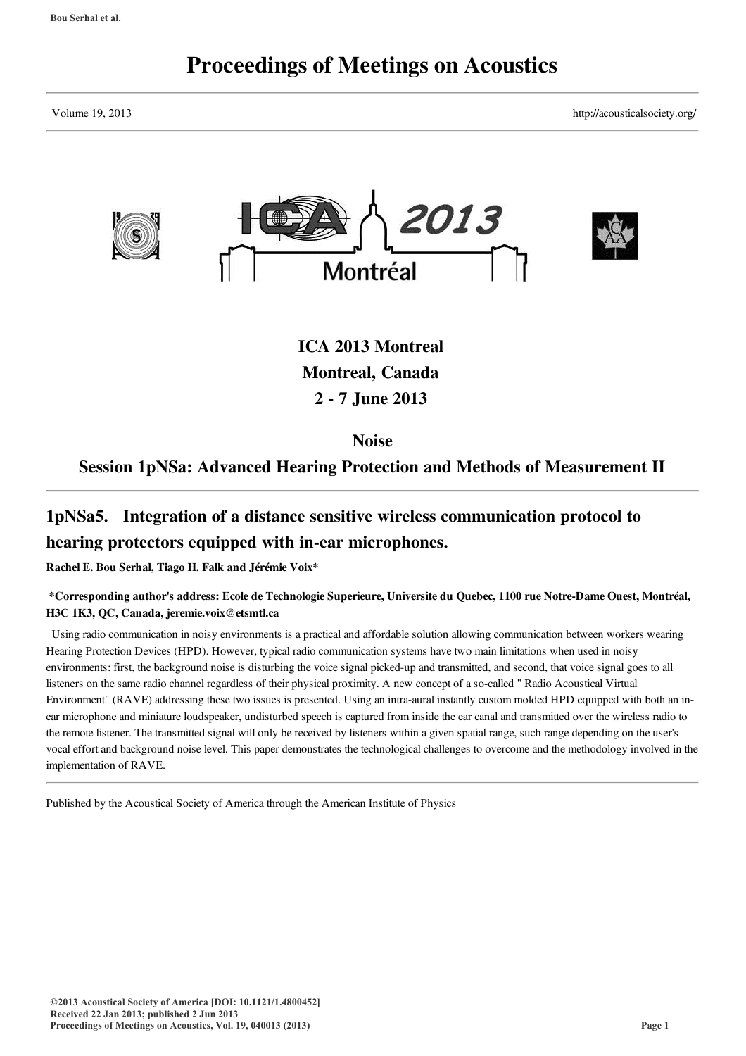# Proceedings of Meetings on Acoustics





ICA 2013 Montreal Montreal, Canada 2 - 7 June 2013

Noise

### Session 1pNSa: Advanced Hearing Protection and Methods of Measurement II

## 1pNSa5. Integration of a distance sensitive wireless communication protocol to hearing protectors equipped with in-ear microphones.

Rachel E. Bou Serhal, Tiago H. Falk and Jérémie Voix\*

#### \*Corresponding author's address: Ecole de Technologie Superieure, Universite du Quebec, 1100 rue Notre-Dame Ouest, Montréal, H3C 1K3, QC, Canada, jeremie.voix@etsmtl.ca

Using radio communication in noisy environments is a practical and affordable solution allowing communication between workers wearing Hearing Protection Devices (HPD). However, typical radio communication systems have two main limitations when used in noisy environments: first, the background noise is disturbing the voice signal picked-up and transmitted, and second, that voice signal goes to all listeners on the same radio channel regardless of their physical proximity. A new concept of a so-called " Radio Acoustical Virtual Environment" (RAVE) addressing these two issues is presented. Using an intra-aural instantly custom molded HPD equipped with both an inear microphone and miniature loudspeaker, undisturbed speech is captured from inside the ear canal and transmitted over the wireless radio to the remote listener. The transmitted signal will only be received by listeners within a given spatial range, such range depending on the user's vocal effort and background noise level. This paper demonstrates the technological challenges to overcome and the methodology involved in the implementation of RAVE.

Published by the Acoustical Society of America through the American Institute of Physics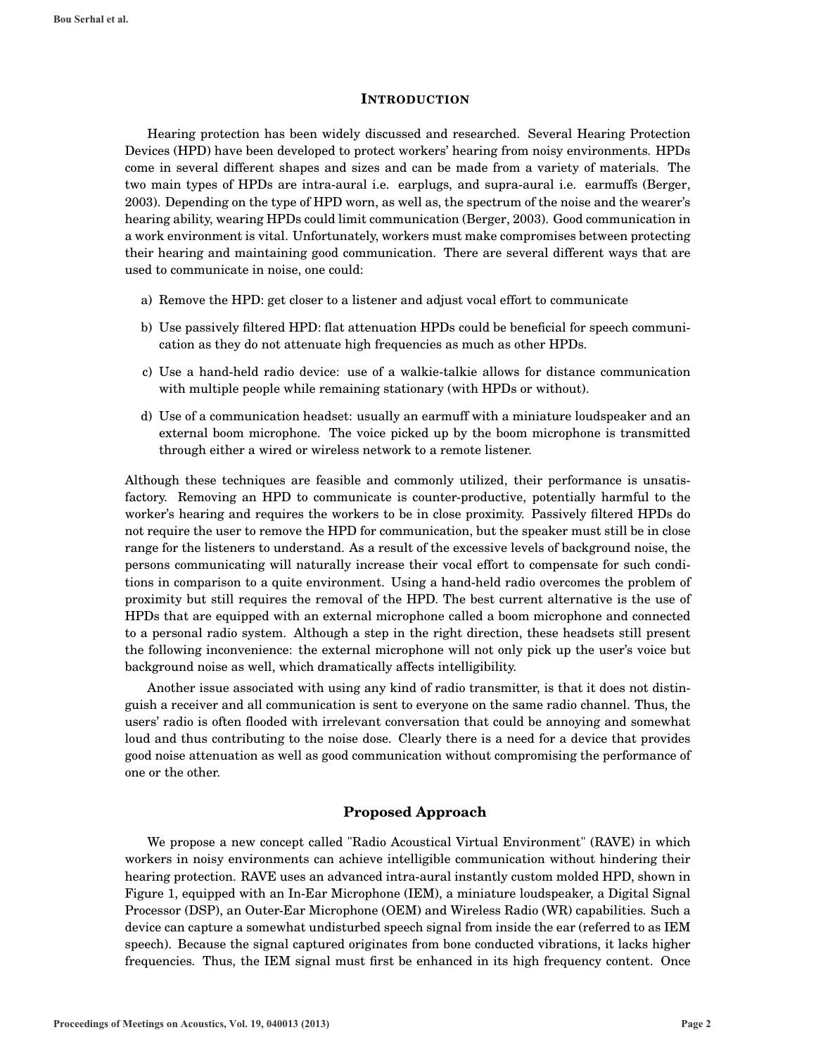#### **INTRODUCTION**

Hearing protection has been widely discussed and researched. Several Hearing Protection Devices (HPD) have been developed to protect workers' hearing from noisy environments. HPDs come in several different shapes and sizes and can be made from a variety of materials. The two main types of HPDs are intra-aural i.e. earplugs, and supra-aural i.e. earmuffs (Berger, 2003). Depending on the type of HPD worn, as well as, the spectrum of the noise and the wearer's hearing ability, wearing HPDs could limit communication (Berger, 2003). Good communication in a work environment is vital. Unfortunately, workers must make compromises between protecting their hearing and maintaining good communication. There are several different ways that are used to communicate in noise, one could:

- a) Remove the HPD: get closer to a listener and adjust vocal effort to communicate
- b) Use passively filtered HPD: flat attenuation HPDs could be beneficial for speech communication as they do not attenuate high frequencies as much as other HPDs.
- c) Use a hand-held radio device: use of a walkie-talkie allows for distance communication with multiple people while remaining stationary (with HPDs or without).
- d) Use of a communication headset: usually an earmuff with a miniature loudspeaker and an external boom microphone. The voice picked up by the boom microphone is transmitted through either a wired or wireless network to a remote listener.

Although these techniques are feasible and commonly utilized, their performance is unsatisfactory. Removing an HPD to communicate is counter-productive, potentially harmful to the worker's hearing and requires the workers to be in close proximity. Passively filtered HPDs do not require the user to remove the HPD for communication, but the speaker must still be in close range for the listeners to understand. As a result of the excessive levels of background noise, the persons communicating will naturally increase their vocal effort to compensate for such conditions in comparison to a quite environment. Using a hand-held radio overcomes the problem of proximity but still requires the removal of the HPD. The best current alternative is the use of HPDs that are equipped with an external microphone called a boom microphone and connected to a personal radio system. Although a step in the right direction, these headsets still present the following inconvenience: the external microphone will not only pick up the user's voice but background noise as well, which dramatically affects intelligibility.

Another issue associated with using any kind of radio transmitter, is that it does not distinguish a receiver and all communication is sent to everyone on the same radio channel. Thus, the users' radio is often flooded with irrelevant conversation that could be annoying and somewhat loud and thus contributing to the noise dose. Clearly there is a need for a device that provides good noise attenuation as well as good communication without compromising the performance of one or the other.

#### **Proposed Approach**

We propose a new concept called "Radio Acoustical Virtual Environment" (RAVE) in which workers in noisy environments can achieve intelligible communication without hindering their hearing protection. RAVE uses an advanced intra-aural instantly custom molded HPD, shown in Figure 1, equipped with an In-Ear Microphone (IEM), a miniature loudspeaker, a Digital Signal Processor (DSP), an Outer-Ear Microphone (OEM) and Wireless Radio (WR) capabilities. Such a device can capture a somewhat undisturbed speech signal from inside the ear (referred to as IEM speech). Because the signal captured originates from bone conducted vibrations, it lacks higher frequencies. Thus, the IEM signal must first be enhanced in its high frequency content. Once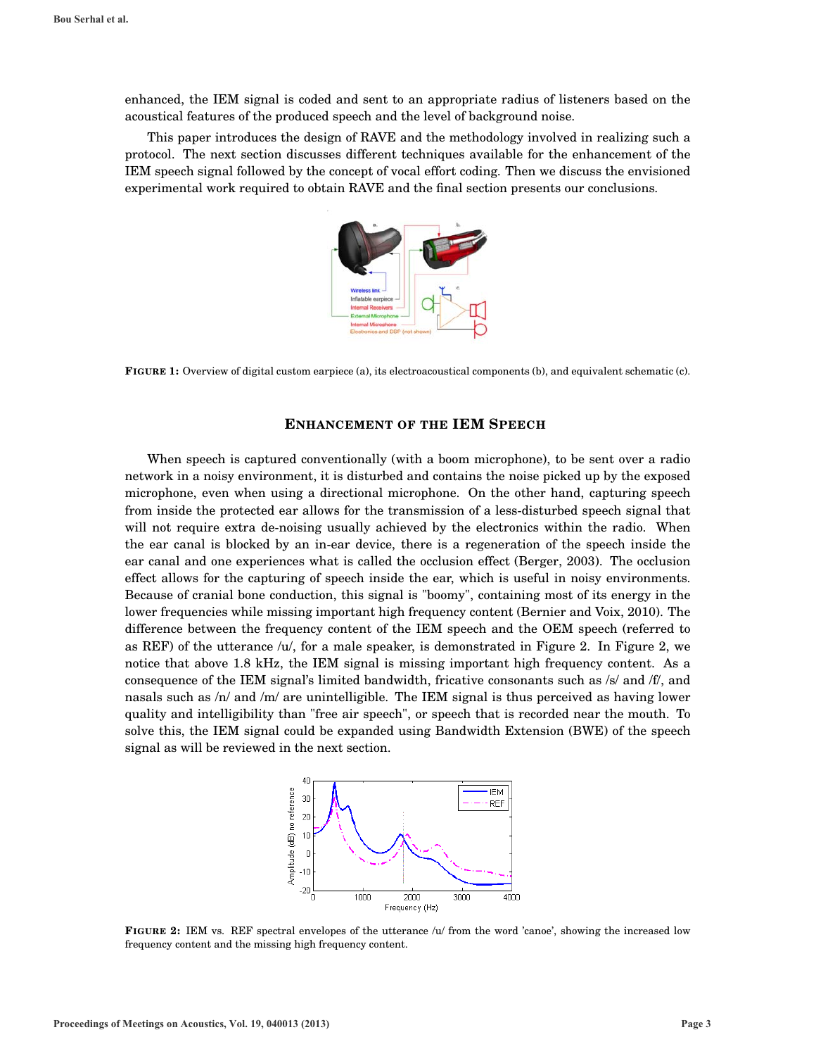enhanced, the IEM signal is coded and sent to an appropriate radius of listeners based on the acoustical features of the produced speech and the level of background noise.

This paper introduces the design of RAVE and the methodology involved in realizing such a protocol. The next section discusses different techniques available for the enhancement of the IEM speech signal followed by the concept of vocal effort coding. Then we discuss the envisioned experimental work required to obtain RAVE and the final section presents our conclusions.



**FIGURE 1:** Overview of digital custom earpiece (a), its electroacoustical components (b), and equivalent schematic (c).

#### **ENHANCEMENT OF THE IEM SPEECH**

When speech is captured conventionally (with a boom microphone), to be sent over a radio network in a noisy environment, it is disturbed and contains the noise picked up by the exposed microphone, even when using a directional microphone. On the other hand, capturing speech from inside the protected ear allows for the transmission of a less-disturbed speech signal that will not require extra de-noising usually achieved by the electronics within the radio. When the ear canal is blocked by an in-ear device, there is a regeneration of the speech inside the ear canal and one experiences what is called the occlusion effect (Berger, 2003). The occlusion effect allows for the capturing of speech inside the ear, which is useful in noisy environments. Because of cranial bone conduction, this signal is "boomy", containing most of its energy in the lower frequencies while missing important high frequency content (Bernier and Voix, 2010). The difference between the frequency content of the IEM speech and the OEM speech (referred to as REF) of the utterance  $\sqrt{u}$ , for a male speaker, is demonstrated in Figure 2. In Figure 2, we notice that above 1.8 kHz, the IEM signal is missing important high frequency content. As a consequence of the IEM signal's limited bandwidth, fricative consonants such as /s/ and /f/, and nasals such as /n/ and /m/ are unintelligible. The IEM signal is thus perceived as having lower quality and intelligibility than "free air speech", or speech that is recorded near the mouth. To solve this, the IEM signal could be expanded using Bandwidth Extension (BWE) of the speech signal as will be reviewed in the next section.



**FIGURE 2:** IEM vs. REF spectral envelopes of the utterance /u/ from the word 'canoe', showing the increased low frequency content and the missing high frequency content.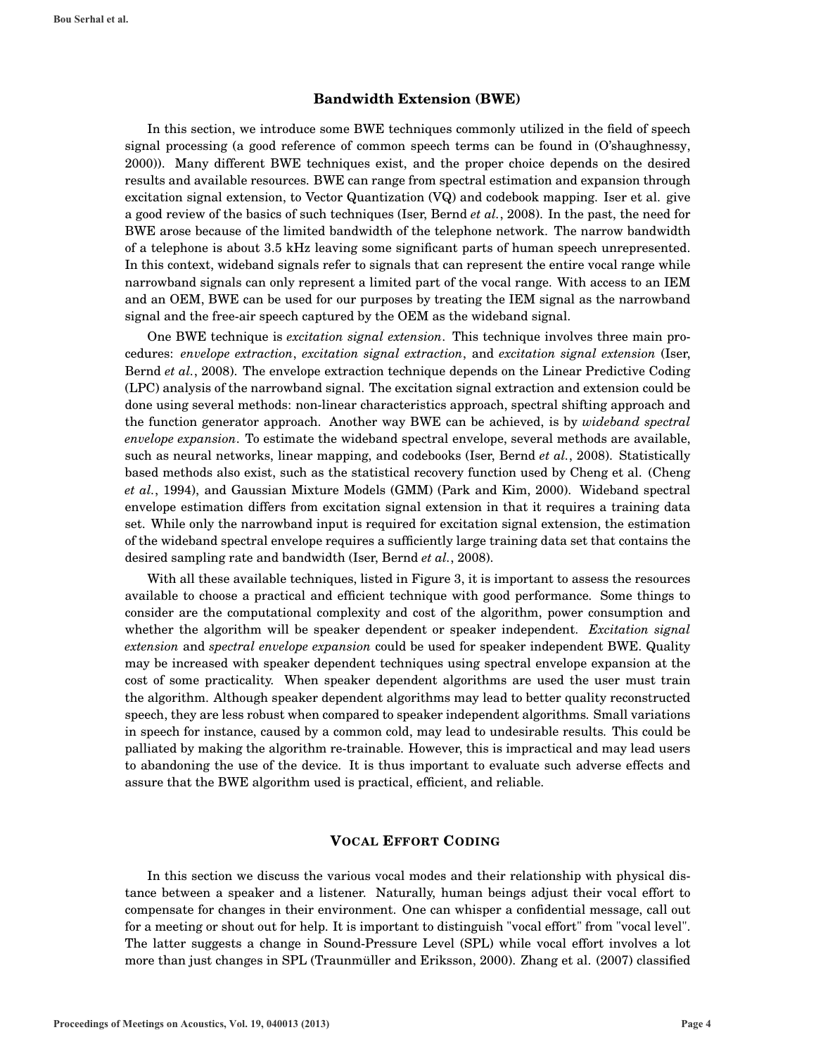#### **Bandwidth Extension (BWE)**

In this section, we introduce some BWE techniques commonly utilized in the field of speech signal processing (a good reference of common speech terms can be found in (O'shaughnessy, 2000)). Many different BWE techniques exist, and the proper choice depends on the desired results and available resources. BWE can range from spectral estimation and expansion through excitation signal extension, to Vector Quantization (VQ) and codebook mapping. Iser et al. give a good review of the basics of such techniques (Iser, Bernd *et al.*, 2008). In the past, the need for BWE arose because of the limited bandwidth of the telephone network. The narrow bandwidth of a telephone is about 3.5 kHz leaving some significant parts of human speech unrepresented. In this context, wideband signals refer to signals that can represent the entire vocal range while narrowband signals can only represent a limited part of the vocal range. With access to an IEM and an OEM, BWE can be used for our purposes by treating the IEM signal as the narrowband signal and the free-air speech captured by the OEM as the wideband signal.

One BWE technique is *excitation signal extension*. This technique involves three main procedures: *envelope extraction*, *excitation signal extraction*, and *excitation signal extension* (Iser, Bernd *et al.*, 2008). The envelope extraction technique depends on the Linear Predictive Coding (LPC) analysis of the narrowband signal. The excitation signal extraction and extension could be done using several methods: non-linear characteristics approach, spectral shifting approach and the function generator approach. Another way BWE can be achieved, is by *wideband spectral envelope expansion*. To estimate the wideband spectral envelope, several methods are available, such as neural networks, linear mapping, and codebooks (Iser, Bernd *et al.*, 2008). Statistically based methods also exist, such as the statistical recovery function used by Cheng et al. (Cheng *et al.*, 1994), and Gaussian Mixture Models (GMM) (Park and Kim, 2000). Wideband spectral envelope estimation differs from excitation signal extension in that it requires a training data set. While only the narrowband input is required for excitation signal extension, the estimation of the wideband spectral envelope requires a sufficiently large training data set that contains the desired sampling rate and bandwidth (Iser, Bernd *et al.*, 2008).

With all these available techniques, listed in Figure 3, it is important to assess the resources available to choose a practical and efficient technique with good performance. Some things to consider are the computational complexity and cost of the algorithm, power consumption and whether the algorithm will be speaker dependent or speaker independent. *Excitation signal extension* and *spectral envelope expansion* could be used for speaker independent BWE. Quality may be increased with speaker dependent techniques using spectral envelope expansion at the cost of some practicality. When speaker dependent algorithms are used the user must train the algorithm. Although speaker dependent algorithms may lead to better quality reconstructed speech, they are less robust when compared to speaker independent algorithms. Small variations in speech for instance, caused by a common cold, may lead to undesirable results. This could be palliated by making the algorithm re-trainable. However, this is impractical and may lead users to abandoning the use of the device. It is thus important to evaluate such adverse effects and assure that the BWE algorithm used is practical, efficient, and reliable.

#### **VOCAL EFFORT CODING**

In this section we discuss the various vocal modes and their relationship with physical distance between a speaker and a listener. Naturally, human beings adjust their vocal effort to compensate for changes in their environment. One can whisper a confidential message, call out for a meeting or shout out for help. It is important to distinguish "vocal effort" from "vocal level". The latter suggests a change in Sound-Pressure Level (SPL) while vocal effort involves a lot more than just changes in SPL (Traunmüller and Eriksson, 2000). Zhang et al. (2007) classified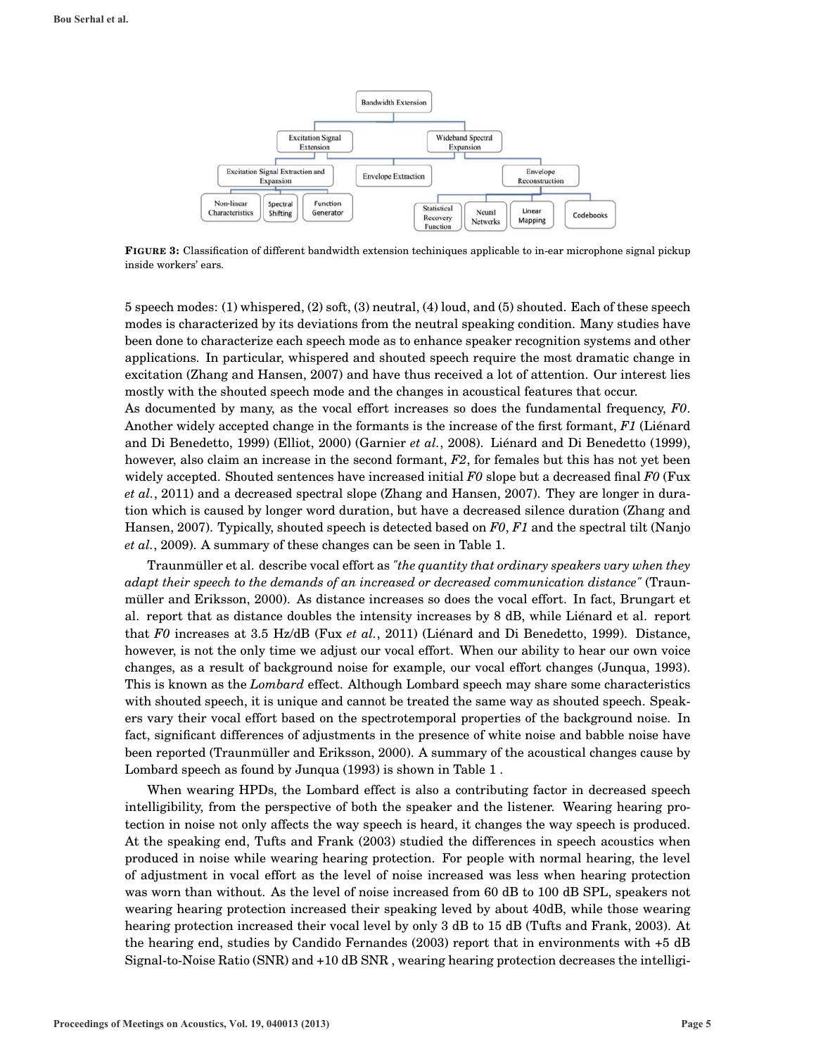

**FIGURE 3:** Classification of different bandwidth extension techiniques applicable to in-ear microphone signal pickup inside workers' ears.

5 speech modes: (1) whispered, (2) soft, (3) neutral, (4) loud, and (5) shouted. Each of these speech modes is characterized by its deviations from the neutral speaking condition. Many studies have been done to characterize each speech mode as to enhance speaker recognition systems and other applications. In particular, whispered and shouted speech require the most dramatic change in excitation (Zhang and Hansen, 2007) and have thus received a lot of attention. Our interest lies mostly with the shouted speech mode and the changes in acoustical features that occur.

As documented by many, as the vocal effort increases so does the fundamental frequency, *F0*. Another widely accepted change in the formants is the increase of the first formant, *F1* (Liénard and Di Benedetto, 1999) (Elliot, 2000) (Garnier *et al.*, 2008). Liénard and Di Benedetto (1999), however, also claim an increase in the second formant, *F2*, for females but this has not yet been widely accepted. Shouted sentences have increased initial *F0* slope but a decreased final *F0* (Fux *et al.*, 2011) and a decreased spectral slope (Zhang and Hansen, 2007). They are longer in duration which is caused by longer word duration, but have a decreased silence duration (Zhang and Hansen, 2007). Typically, shouted speech is detected based on *F0*, *F1* and the spectral tilt (Nanjo *et al.*, 2009). A summary of these changes can be seen in Table 1.

Traunmüller et al. describe vocal effort as *"the quantity that ordinary speakers vary when they adapt their speech to the demands of an increased or decreased communication distance"* (Traunmüller and Eriksson, 2000). As distance increases so does the vocal effort. In fact, Brungart et al. report that as distance doubles the intensity increases by 8 dB, while Liénard et al. report that *F0* increases at 3.5 Hz/dB (Fux *et al.*, 2011) (Liénard and Di Benedetto, 1999). Distance, however, is not the only time we adjust our vocal effort. When our ability to hear our own voice changes, as a result of background noise for example, our vocal effort changes (Junqua, 1993). This is known as the *Lombard* effect. Although Lombard speech may share some characteristics with shouted speech, it is unique and cannot be treated the same way as shouted speech. Speakers vary their vocal effort based on the spectrotemporal properties of the background noise. In fact, significant differences of adjustments in the presence of white noise and babble noise have been reported (Traunmüller and Eriksson, 2000). A summary of the acoustical changes cause by Lombard speech as found by Junqua (1993) is shown in Table 1 .

When wearing HPDs, the Lombard effect is also a contributing factor in decreased speech intelligibility, from the perspective of both the speaker and the listener. Wearing hearing protection in noise not only affects the way speech is heard, it changes the way speech is produced. At the speaking end, Tufts and Frank (2003) studied the differences in speech acoustics when produced in noise while wearing hearing protection. For people with normal hearing, the level of adjustment in vocal effort as the level of noise increased was less when hearing protection was worn than without. As the level of noise increased from 60 dB to 100 dB SPL, speakers not wearing hearing protection increased their speaking leved by about 40dB, while those wearing hearing protection increased their vocal level by only 3 dB to 15 dB (Tufts and Frank, 2003). At the hearing end, studies by Candido Fernandes (2003) report that in environments with +5 dB Signal-to-Noise Ratio (SNR) and +10 dB SNR , wearing hearing protection decreases the intelligi-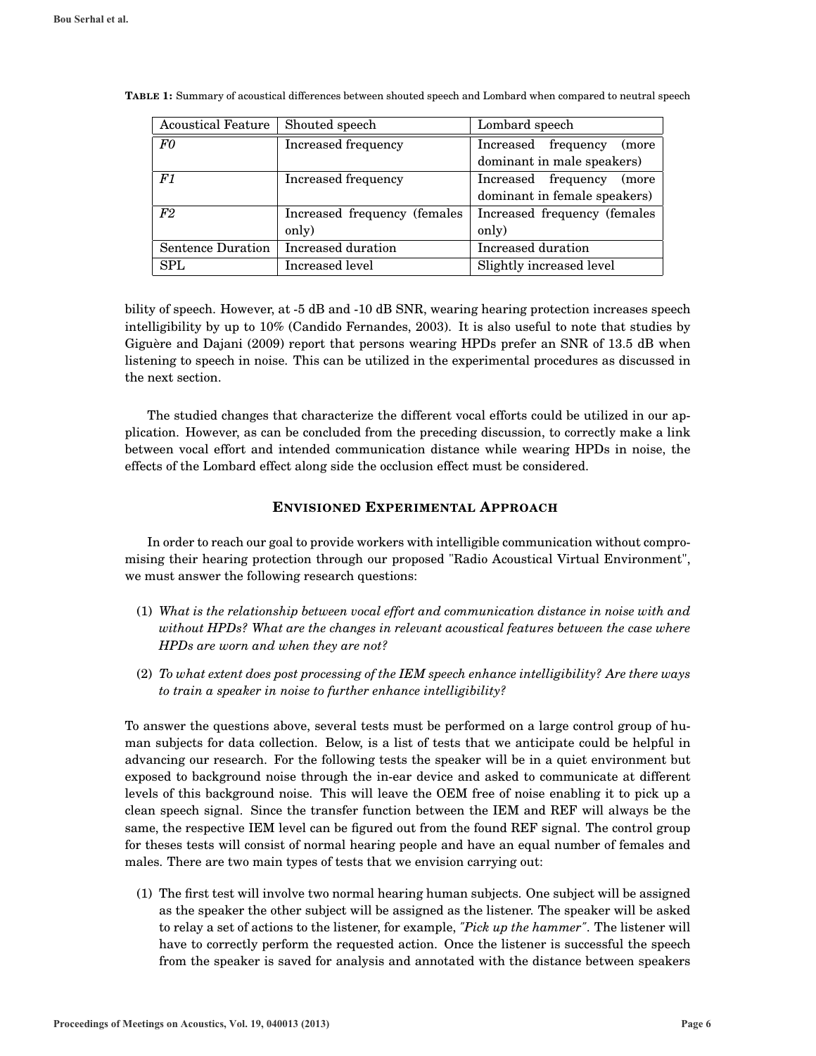| <b>Acoustical Feature</b> | Shouted speech               | Lombard speech                |
|---------------------------|------------------------------|-------------------------------|
| F0                        | Increased frequency          | Increased frequency<br>(more  |
|                           |                              | dominant in male speakers)    |
| F1                        | Increased frequency          | Increased frequency<br>(more) |
|                           |                              | dominant in female speakers)  |
| F2                        | Increased frequency (females | Increased frequency (females  |
|                           | only)                        | only)                         |
| Sentence Duration         | Increased duration           | Increased duration            |
| <b>SPL</b>                | Increased level              | Slightly increased level      |

**TABLE 1:** Summary of acoustical differences between shouted speech and Lombard when compared to neutral speech

bility of speech. However, at -5 dB and -10 dB SNR, wearing hearing protection increases speech intelligibility by up to 10% (Candido Fernandes, 2003). It is also useful to note that studies by Giguère and Dajani (2009) report that persons wearing HPDs prefer an SNR of 13.5 dB when listening to speech in noise. This can be utilized in the experimental procedures as discussed in the next section.

The studied changes that characterize the different vocal efforts could be utilized in our application. However, as can be concluded from the preceding discussion, to correctly make a link between vocal effort and intended communication distance while wearing HPDs in noise, the effects of the Lombard effect along side the occlusion effect must be considered.

#### **ENVISIONED EXPERIMENTAL APPROACH**

In order to reach our goal to provide workers with intelligible communication without compromising their hearing protection through our proposed "Radio Acoustical Virtual Environment", we must answer the following research questions:

- (1) *What is the relationship between vocal effort and communication distance in noise with and without HPDs? What are the changes in relevant acoustical features between the case where HPDs are worn and when they are not?*
- (2) *To what extent does post processing of the IEM speech enhance intelligibility? Are there ways to train a speaker in noise to further enhance intelligibility?*

To answer the questions above, several tests must be performed on a large control group of human subjects for data collection. Below, is a list of tests that we anticipate could be helpful in advancing our research. For the following tests the speaker will be in a quiet environment but exposed to background noise through the in-ear device and asked to communicate at different levels of this background noise. This will leave the OEM free of noise enabling it to pick up a clean speech signal. Since the transfer function between the IEM and REF will always be the same, the respective IEM level can be figured out from the found REF signal. The control group for theses tests will consist of normal hearing people and have an equal number of females and males. There are two main types of tests that we envision carrying out:

(1) The first test will involve two normal hearing human subjects. One subject will be assigned as the speaker the other subject will be assigned as the listener. The speaker will be asked to relay a set of actions to the listener, for example, *"Pick up the hammer"*. The listener will have to correctly perform the requested action. Once the listener is successful the speech from the speaker is saved for analysis and annotated with the distance between speakers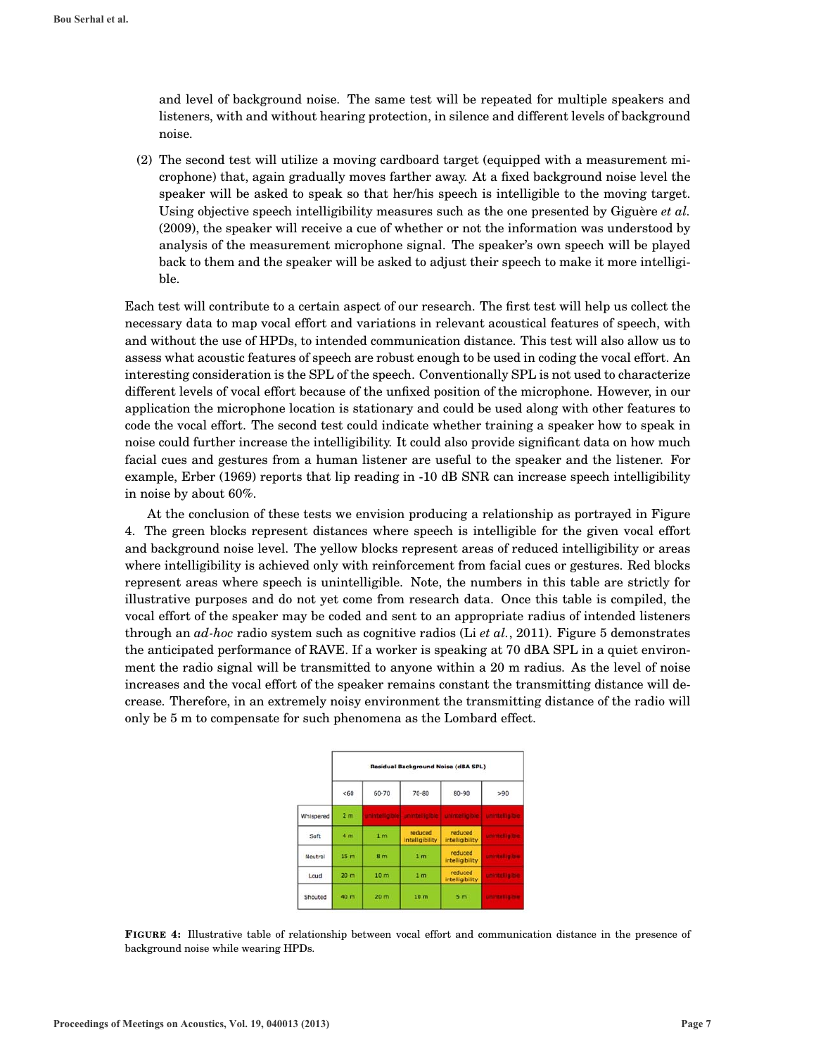and level of background noise. The same test will be repeated for multiple speakers and listeners, with and without hearing protection, in silence and different levels of background noise.

(2) The second test will utilize a moving cardboard target (equipped with a measurement microphone) that, again gradually moves farther away. At a fixed background noise level the speaker will be asked to speak so that her/his speech is intelligible to the moving target. Using objective speech intelligibility measures such as the one presented by Giguère *et al.* (2009), the speaker will receive a cue of whether or not the information was understood by analysis of the measurement microphone signal. The speaker's own speech will be played back to them and the speaker will be asked to adjust their speech to make it more intelligible.

Each test will contribute to a certain aspect of our research. The first test will help us collect the necessary data to map vocal effort and variations in relevant acoustical features of speech, with and without the use of HPDs, to intended communication distance. This test will also allow us to assess what acoustic features of speech are robust enough to be used in coding the vocal effort. An interesting consideration is the SPL of the speech. Conventionally SPL is not used to characterize different levels of vocal effort because of the unfixed position of the microphone. However, in our application the microphone location is stationary and could be used along with other features to code the vocal effort. The second test could indicate whether training a speaker how to speak in noise could further increase the intelligibility. It could also provide significant data on how much facial cues and gestures from a human listener are useful to the speaker and the listener. For example, Erber (1969) reports that lip reading in -10 dB SNR can increase speech intelligibility in noise by about 60%.

At the conclusion of these tests we envision producing a relationship as portrayed in Figure 4. The green blocks represent distances where speech is intelligible for the given vocal effort and background noise level. The yellow blocks represent areas of reduced intelligibility or areas where intelligibility is achieved only with reinforcement from facial cues or gestures. Red blocks represent areas where speech is unintelligible. Note, the numbers in this table are strictly for illustrative purposes and do not yet come from research data. Once this table is compiled, the vocal effort of the speaker may be coded and sent to an appropriate radius of intended listeners through an *ad-hoc* radio system such as cognitive radios (Li *et al.*, 2011). Figure 5 demonstrates the anticipated performance of RAVE. If a worker is speaking at 70 dBA SPL in a quiet environment the radio signal will be transmitted to anyone within a 20 m radius. As the level of noise increases and the vocal effort of the speaker remains constant the transmitting distance will decrease. Therefore, in an extremely noisy environment the transmitting distance of the radio will only be 5 m to compensate for such phenomena as the Lombard effect.



**FIGURE 4:** Illustrative table of relationship between vocal effort and communication distance in the presence of background noise while wearing HPDs.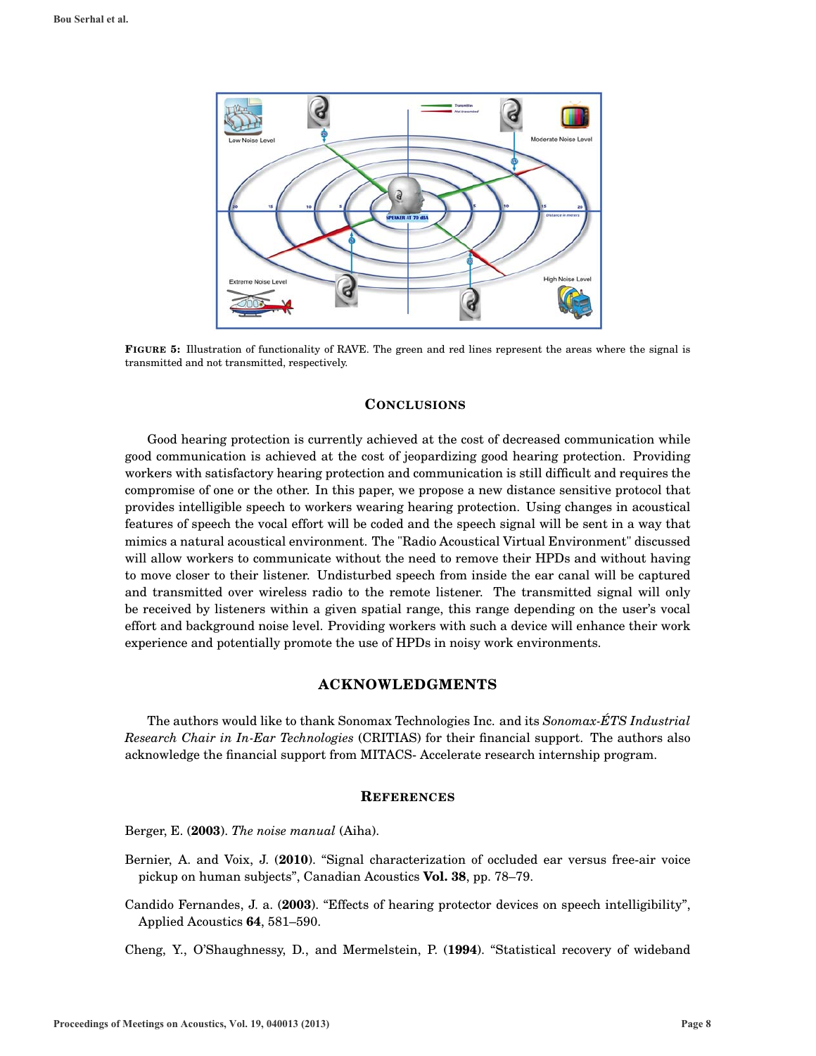

**FIGURE 5:** Illustration of functionality of RAVE. The green and red lines represent the areas where the signal is transmitted and not transmitted, respectively.

#### **CONCLUSIONS**

Good hearing protection is currently achieved at the cost of decreased communication while good communication is achieved at the cost of jeopardizing good hearing protection. Providing workers with satisfactory hearing protection and communication is still difficult and requires the compromise of one or the other. In this paper, we propose a new distance sensitive protocol that provides intelligible speech to workers wearing hearing protection. Using changes in acoustical features of speech the vocal effort will be coded and the speech signal will be sent in a way that mimics a natural acoustical environment. The "Radio Acoustical Virtual Environment" discussed will allow workers to communicate without the need to remove their HPDs and without having to move closer to their listener. Undisturbed speech from inside the ear canal will be captured and transmitted over wireless radio to the remote listener. The transmitted signal will only be received by listeners within a given spatial range, this range depending on the user's vocal effort and background noise level. Providing workers with such a device will enhance their work experience and potentially promote the use of HPDs in noisy work environments.

#### **ACKNOWLEDGMENTS**

The authors would like to thank Sonomax Technologies Inc. and its *Sonomax-ÉTS Industrial Research Chair in In-Ear Technologies* (CRITIAS) for their financial support. The authors also acknowledge the financial support from MITACS- Accelerate research internship program.

#### **REFERENCES**

Berger, E. (**2003**). *The noise manual* (Aiha).

- Bernier, A. and Voix, J. (**2010**). "Signal characterization of occluded ear versus free-air voice pickup on human subjects", Canadian Acoustics **Vol. 38**, pp. 78–79.
- Candido Fernandes, J. a. (**2003**). "Effects of hearing protector devices on speech intelligibility", Applied Acoustics **64**, 581–590.

Cheng, Y., O'Shaughnessy, D., and Mermelstein, P. (**1994**). "Statistical recovery of wideband